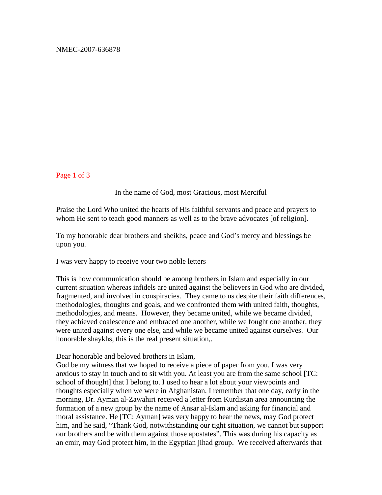Page 1 of 3

## In the name of God, most Gracious, most Merciful

Praise the Lord Who united the hearts of His faithful servants and peace and prayers to whom He sent to teach good manners as well as to the brave advocates [of religion].

To my honorable dear brothers and sheikhs, peace and God's mercy and blessings be upon you.

I was very happy to receive your two noble letters

This is how communication should be among brothers in Islam and especially in our current situation whereas infidels are united against the believers in God who are divided, fragmented, and involved in conspiracies. They came to us despite their faith differences, methodologies, thoughts and goals, and we confronted them with united faith, thoughts, methodologies, and means. However, they became united, while we became divided, they achieved coalescence and embraced one another, while we fought one another, they were united against every one else, and while we became united against ourselves. Our honorable shaykhs, this is the real present situation,.

Dear honorable and beloved brothers in Islam,

God be my witness that we hoped to receive a piece of paper from you. I was very anxious to stay in touch and to sit with you. At least you are from the same school [TC: school of thought] that I belong to. I used to hear a lot about your viewpoints and thoughts especially when we were in Afghanistan. I remember that one day, early in the morning, Dr. Ayman al-Zawahiri received a letter from Kurdistan area announcing the formation of a new group by the name of Ansar al-Islam and asking for financial and moral assistance. He [TC: Ayman] was very happy to hear the news, may God protect him, and he said, "Thank God, notwithstanding our tight situation, we cannot but support our brothers and be with them against those apostates". This was during his capacity as an emir, may God protect him, in the Egyptian jihad group. We received afterwards that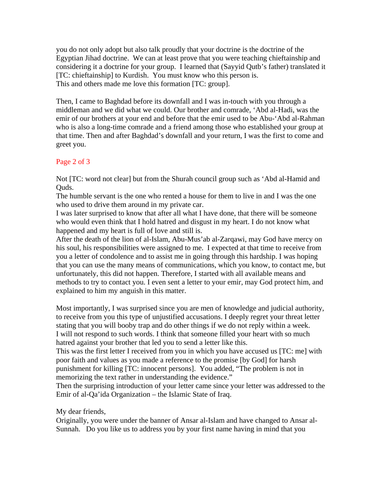you do not only adopt but also talk proudly that your doctrine is the doctrine of the Egyptian Jihad doctrine. We can at least prove that you were teaching chieftainship and considering it a doctrine for your group. I learned that (Sayyid Qutb's father) translated it [TC: chieftainship] to Kurdish. You must know who this person is. This and others made me love this formation [TC: group].

Then, I came to Baghdad before its downfall and I was in-touch with you through a middleman and we did what we could. Our brother and comrade, 'Abd al-Hadi, was the emir of our brothers at your end and before that the emir used to be Abu-'Abd al-Rahman who is also a long-time comrade and a friend among those who established your group at that time. Then and after Baghdad's downfall and your return, I was the first to come and greet you.

## Page 2 of 3

Not [TC: word not clear] but from the Shurah council group such as 'Abd al-Hamid and Quds.

The humble servant is the one who rented a house for them to live in and I was the one who used to drive them around in my private car.

I was later surprised to know that after all what I have done, that there will be someone who would even think that I hold hatred and disgust in my heart. I do not know what happened and my heart is full of love and still is.

After the death of the lion of al-Islam, Abu-Mus'ab al-Zarqawi, may God have mercy on his soul, his responsibilities were assigned to me. I expected at that time to receive from you a letter of condolence and to assist me in going through this hardship. I was hoping that you can use the many means of communications, which you know, to contact me, but unfortunately, this did not happen. Therefore, I started with all available means and methods to try to contact you. I even sent a letter to your emir, may God protect him, and explained to him my anguish in this matter.

Most importantly, I was surprised since you are men of knowledge and judicial authority, to receive from you this type of unjustified accusations. I deeply regret your threat letter stating that you will booby trap and do other things if we do not reply within a week. I will not respond to such words. I think that someone filled your heart with so much hatred against your brother that led you to send a letter like this.

This was the first letter I received from you in which you have accused us [TC: me] with poor faith and values as you made a reference to the promise [by God] for harsh punishment for killing [TC: innocent persons]. You added, "The problem is not in memorizing the text rather in understanding the evidence."

Then the surprising introduction of your letter came since your letter was addressed to the Emir of al-Qa'ida Organization – the Islamic State of Iraq.

## My dear friends,

Originally, you were under the banner of Ansar al-Islam and have changed to Ansar al-Sunnah. Do you like us to address you by your first name having in mind that you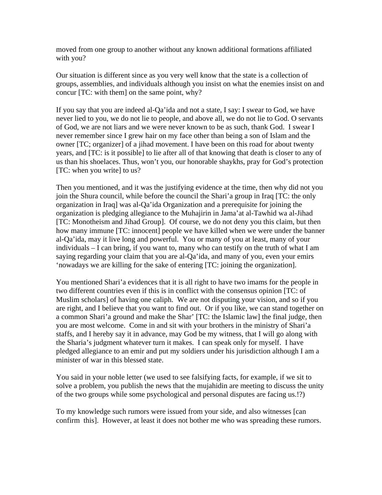moved from one group to another without any known additional formations affiliated with you?

Our situation is different since as you very well know that the state is a collection of groups, assemblies, and individuals although you insist on what the enemies insist on and concur [TC: with them] on the same point, why?

If you say that you are indeed al-Qa'ida and not a state, I say: I swear to God, we have never lied to you, we do not lie to people, and above all, we do not lie to God. O servants of God, we are not liars and we were never known to be as such, thank God. I swear I never remember since I grew hair on my face other than being a son of Islam and the owner [TC; organizer] of a jihad movement. I have been on this road for about twenty years, and [TC: is it possible] to lie after all of that knowing that death is closer to any of us than his shoelaces. Thus, won't you, our honorable shaykhs, pray for God's protection [TC: when you write] to us?

Then you mentioned, and it was the justifying evidence at the time, then why did not you join the Shura council, while before the council the Shari'a group in Iraq [TC: the only organization in Iraq] was al-Qa'ida Organization and a prerequisite for joining the organization is pledging allegiance to the Muhajirin in Jama'at al-Tawhid wa al-Jihad [TC: Monotheism and Jihad Group]. Of course, we do not deny you this claim, but then how many immune [TC: innocent] people we have killed when we were under the banner al-Qa'ida, may it live long and powerful. You or many of you at least, many of your individuals – I can bring, if you want to, many who can testify on the truth of what I am saying regarding your claim that you are al-Qa'ida, and many of you, even your emirs 'nowadays we are killing for the sake of entering [TC: joining the organization].

You mentioned Shari'a evidences that it is all right to have two imams for the people in two different countries even if this is in conflict with the consensus opinion [TC: of Muslim scholars] of having one caliph. We are not disputing your vision, and so if you are right, and I believe that you want to find out. Or if you like, we can stand together on a common Shari'a ground and make the Shar' [TC: the Islamic law] the final judge, then you are most welcome. Come in and sit with your brothers in the ministry of Shari'a staffs, and I hereby say it in advance, may God be my witness, that I will go along with the Sharia's judgment whatever turn it makes. I can speak only for myself. I have pledged allegiance to an emir and put my soldiers under his jurisdiction although I am a minister of war in this blessed state.

You said in your noble letter (we used to see falsifying facts, for example, if we sit to solve a problem, you publish the news that the mujahidin are meeting to discuss the unity of the two groups while some psychological and personal disputes are facing us.!?)

To my knowledge such rumors were issued from your side, and also witnesses [can confirm this]. However, at least it does not bother me who was spreading these rumors.